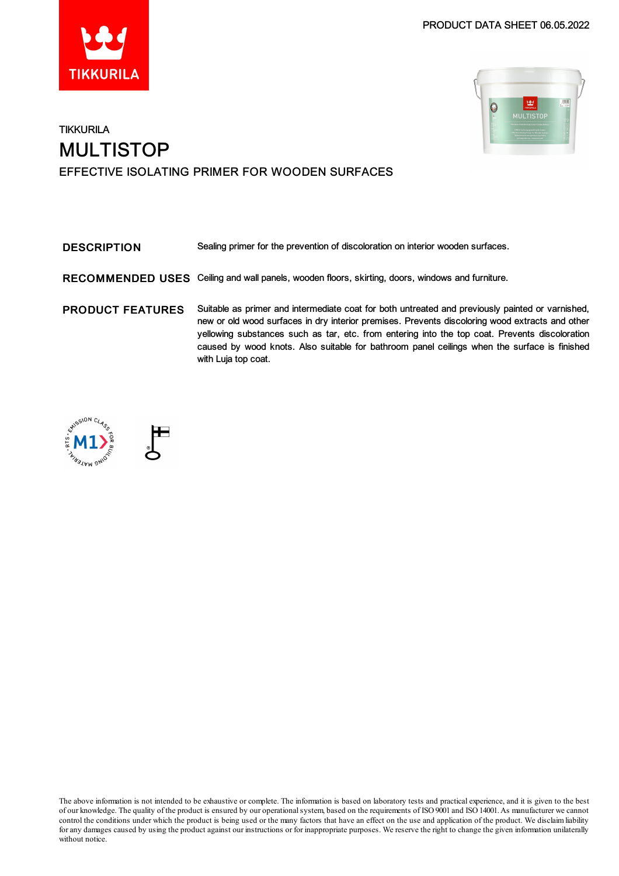

### PRODUCT DATA SHEET 06.05.2022



# **TIKKURILA** MULTISTOP EFFECTIVE ISOLATING PRIMER FOR WOODEN SURFACES

| <b>DESCRIPTION</b>      | Sealing primer for the prevention of discoloration on interior wooden surfaces.                                                                                                                                                                                                                                                                                                                                              |
|-------------------------|------------------------------------------------------------------------------------------------------------------------------------------------------------------------------------------------------------------------------------------------------------------------------------------------------------------------------------------------------------------------------------------------------------------------------|
|                         | RECOMMENDED USES Ceiling and wall panels, wooden floors, skirting, doors, windows and furniture.                                                                                                                                                                                                                                                                                                                             |
| <b>PRODUCT FEATURES</b> | Suitable as primer and intermediate coat for both untreated and previously painted or varnished,<br>new or old wood surfaces in dry interior premises. Prevents discoloring wood extracts and other<br>yellowing substances such as tar, etc. from entering into the top coat. Prevents discoloration<br>caused by wood knots. Also suitable for bathroom panel ceilings when the surface is finished<br>with Luja top coat. |





The above information is not intended to be exhaustive or complete. The information is based on laboratory tests and practical experience, and it is given to the best of our knowledge. The quality of the product is ensured by our operationalsystem, based on the requirements of ISO9001 and ISO14001.As manufacturer we cannot control the conditions under which the product is being used or the many factors that have an effect on the use and application of the product. We disclaimliability for any damages caused by using the product against our instructions or for inappropriate purposes. We reserve the right to change the given information unilaterally without notice.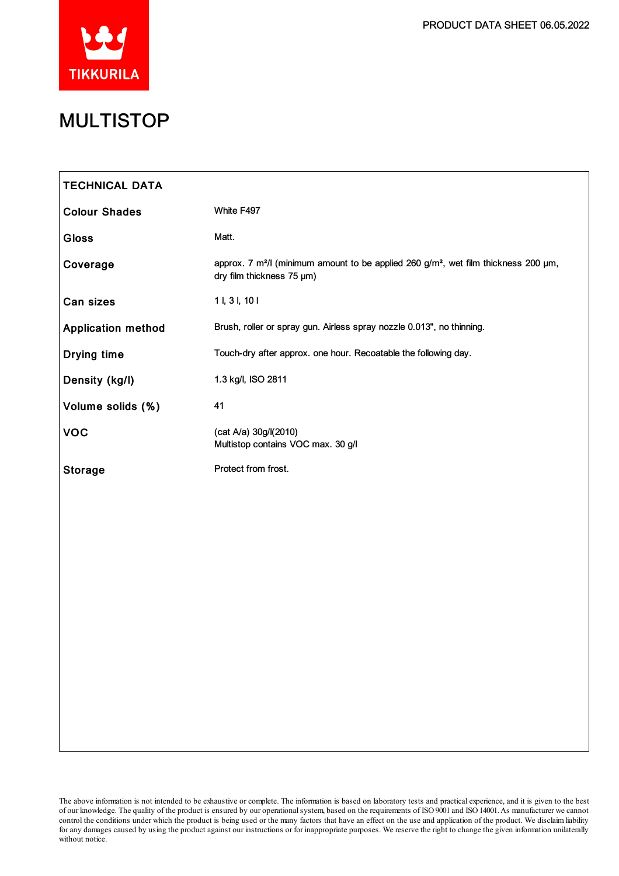

# MULTISTOP

| <b>TECHNICAL DATA</b>     |                                                                                                                                          |
|---------------------------|------------------------------------------------------------------------------------------------------------------------------------------|
| <b>Colour Shades</b>      | White F497                                                                                                                               |
| <b>Gloss</b>              | Matt.                                                                                                                                    |
| Coverage                  | approx. 7 m <sup>2</sup> /l (minimum amount to be applied 260 g/m <sup>2</sup> , wet film thickness 200 µm,<br>dry film thickness 75 µm) |
| Can sizes                 | 11, 31, 101                                                                                                                              |
| <b>Application method</b> | Brush, roller or spray gun. Airless spray nozzle 0.013", no thinning.                                                                    |
| <b>Drying time</b>        | Touch-dry after approx. one hour. Recoatable the following day.                                                                          |
| Density (kg/l)            | 1.3 kg/l, ISO 2811                                                                                                                       |
| Volume solids (%)         | 41                                                                                                                                       |
| <b>VOC</b>                | (cat A/a) 30g/l(2010)<br>Multistop contains VOC max. 30 g/l                                                                              |
| <b>Storage</b>            | Protect from frost.                                                                                                                      |
|                           |                                                                                                                                          |
|                           |                                                                                                                                          |
|                           |                                                                                                                                          |
|                           |                                                                                                                                          |
|                           |                                                                                                                                          |
|                           |                                                                                                                                          |
|                           |                                                                                                                                          |
|                           |                                                                                                                                          |
|                           |                                                                                                                                          |
|                           |                                                                                                                                          |
|                           |                                                                                                                                          |

The above information is not intended to be exhaustive or complete. The information is based on laboratory tests and practical experience, and it is given to the best of our knowledge. The quality of the product is ensured by our operationalsystem, based on the requirements of ISO9001 and ISO14001.As manufacturer we cannot control the conditions under which the product is being used or the many factors that have an effect on the use and application of the product. We disclaimliability for any damages caused by using the product against our instructions or for inappropriate purposes. We reserve the right to change the given information unilaterally without notice.